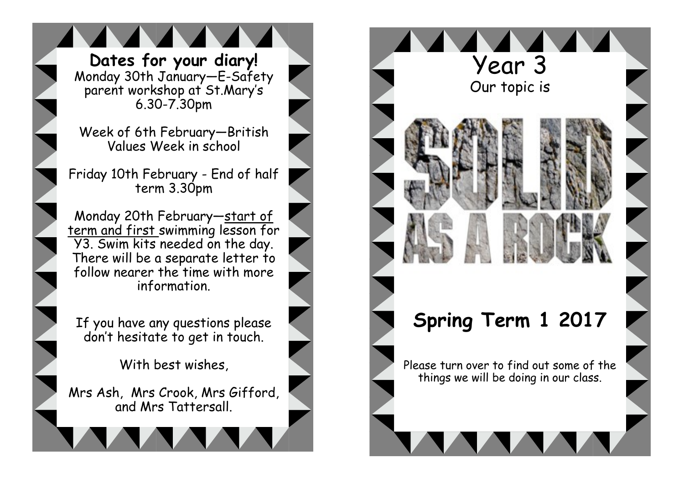**Dates for your diary!** . Monday 30th January—E-Safety parent workshop at St.Mary's 6.30-7.30pm

Week of 6th February—British Values Week in school

Friday 10th February - End of half term 3.30pm

Monday 20th February—start of term and first swimming lesson for Y3. Swim kits needed on the day. There will be a separate letter to follow nearer the time with more information.

If you have any questions please don't hesitate to get in touch.

With best wishes,

Mrs Ash, Mrs Crook, Mrs Gifford, and Mrs Tattersall.